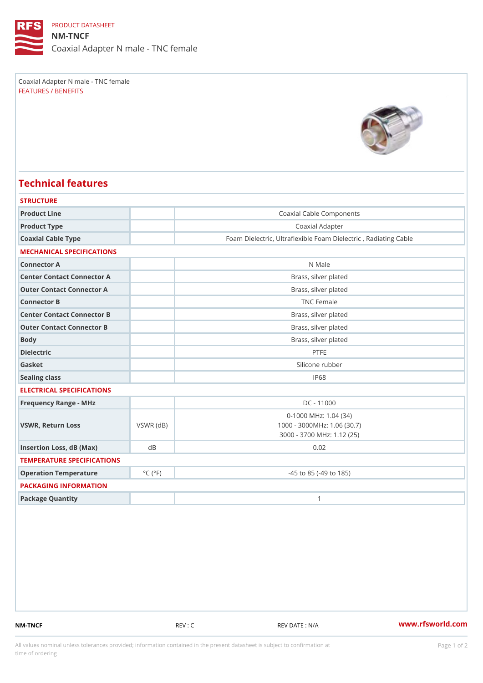### PRODUCT DATASHEET

NM-TNCF Coaxial Adapter N male - TNC female

Coaxial Adapter N male - TNC female FEATURES / BENEFITS

# Technical features

| <b>STRUCTURE</b>           |                             |                                                         |
|----------------------------|-----------------------------|---------------------------------------------------------|
| Product Line               |                             | Coaxial Cable Components                                |
| Product Type               |                             | Coaxial Adapter                                         |
| Coaxial Cable Type         |                             | Foam Dielectric, Ultraflexible Foam Dielectric, Radiati |
| MECHANICAL SPECIFICATIONS  |                             |                                                         |
| Connector A                |                             | N Male                                                  |
| Center Contact Connector A |                             | Brass, silver plated                                    |
| Outer Contact Connector A  |                             | Brass, silver plated                                    |
| Connector B                |                             | TNC Female                                              |
| Center Contact Connector B |                             | Brass, silver plated                                    |
| Outer Contact Connector B  |                             | Brass, silver plated                                    |
| Body                       |                             | Brass, silver plated                                    |
| Dielectric                 |                             | PTFE                                                    |
| Gasket                     |                             | Silicone rubber                                         |
| Sealing class              |                             | IP68                                                    |
| ELECTRICAL SPECIFICATIONS  |                             |                                                         |
| Frequency Range - MHz      |                             | DC - 11000                                              |
|                            |                             | $0 - 1000$ MHz: 1.04 (34)                               |
| VSWR, Return Loss          | $VSWR$ ( $dB$ )             | 1000 - 3000MHz: 1.06 (30.7)                             |
|                            |                             | 3000 - 3700 MHz: 1.12 (25)                              |
| Insertion Loss, dB (Max)   | d B                         | 0.02                                                    |
| TEMPERATURE SPECIFICATIONS |                             |                                                         |
| Operation Temperature      | $^{\circ}$ C ( $^{\circ}$ F | $-45$ to $85$ ( $-49$ to $185$ )                        |
| PACKAGING INFORMATION      |                             |                                                         |
| Package Quantity           |                             | $\mathbf{1}$                                            |

NM-TNCF REV : C REV : C REV DATE : N/A WWW.rfsworld.com

All values nominal unless tolerances provided; information contained in the present datasheet is subject to Pcapgeign manation time of ordering